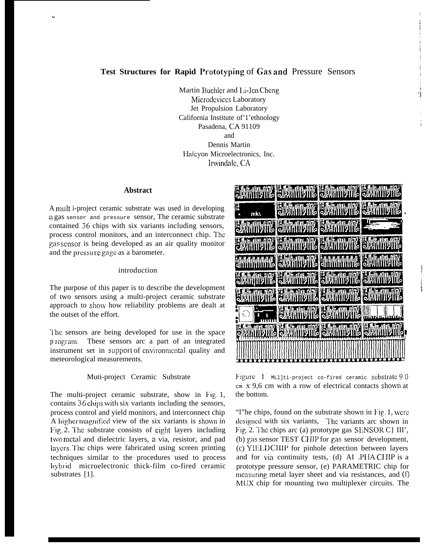# **Test Structures for Rapid Prototyping** of Gas and Pressure Sensors

Martin Buchler and Li-Jen Cheng Microdcvices Laboratory Jet Propulsion Laboratory California Institute of'1'ethnology Pasadena, CA 91109 and Dennis Martin Halcyon Microelectronics, Inc. lrwindale, CA

#### **Abstract**

.

A rnult i-project ceramic substrate was used in developing a gas sensor and pressure sensor, The ceramic substrate contained 36 chips with six variants including sensors, process control monitors, and an interconnect chip. I'he gas sensor is being developed as an air quality monitor and the prcssu re gage as a barometer.

## introduction

The purpose of this paper is to describe the development of two sensors using a multi-project ceramic substrate approach to show how reliability problems are dealt at the outset of the effort.

'1'he sensors are being developed for use in the space p mgram, These sensors arc a part of an integrated instrument set in support of environmental quality and meteorological measurements.

# Muti-project Ceramic Substrate

The multi-project ceramic substrate, show in Fig. 1, contains 36 chips with six variants including the sensors, process control and yield monitors, and interconnect chip A higher magnified view of the six variants is shown in Fig. 2. The substrate consists of eight layers including two metal and dielectric layers, a via, resistor, and pad layers. The chips were fabricated using screen printing techniques similar to the procedures used to process hybrid microelectronic thick-film co-fired ceramic substrates [1].



Figure  $1$  MLl]ti-project co-fired ceramic substrate 9.0  $cm x 9.6 cm with a row of electrical contacts shown at$ the bottom.

"l"he chips, found on the substrate shown in Fig,. 1, were designed with six variants, The variants arc shown in Fig. 2. The chips arc (a) prototype gas SENSOR C} III', (b) gas sensor TEST ClIII' for gas sensor development, (c) YIFI,D Cl 11P for pinhole detection between layers and for via continuity tests,  $(d)$  AI . PHA CHIP is a prototype pressure sensor, (e) PARAMETRIC chip for measuring metal layer sheet and via resistances, and  $(f)$ MUX chip for mounting two multiplexer circuits. The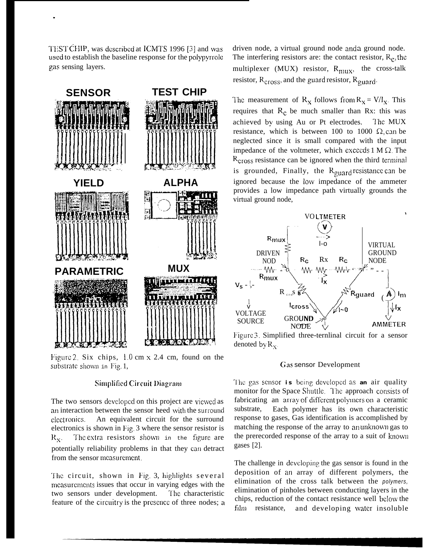TEST CHIP, was described at ICMTS 1996 [3] and was used to establish the baseline response for the polypyrrole gas sensing layers.

.



Figure 2. Six chips,  $1.0 \text{ cm} \times 2.4 \text{ cm}$ , found on the substrate shown in Fig. 1,

### Simplified Circuit Diagram

The two sensors developed on this project are viewed as an interaction between the sensor heed with the surround elect ronics. An equivalent circuit for the surround electronics is shown in Fig. 3 where the sensor resistor is  $R_x$ . The extra resistors shown in the figure are potentially reliability problems in that they can detract from the sensor measurement.

The circuit, shown in Fig. 3, highlights several measurements issues that occur in varying edges with the two sensors under development. The characteristic feature of the circuitry is the presence of three nodes; a driven node, a virtual ground node and a ground node. The interfering resistors are: the contact resistor,  $R_c$ , the multiplexer (MUX) resistor,  $R_{\text{muX}}$ , the cross-talk resistor,  $R_{cross}$ , and the guard resistor,  $R_{quard}$ .

The measurement of  $R_X$  follows from  $R_X = V/I_X$ . This requires that  $R_c$  be much smaller than Rx: this was achieved by using Au or Pt electrodes. I'hc MUX resistance, which is between 100 to 1000  $\Omega$ , can be neglected since it is small compared with the input impedance of the voltmeter, which exceeds  $1 M \Omega$ . The  $R<sub>cross</sub> resistance can be ignored when the third terminal$ is grounded, Finally, the  $R_{\text{quard}}$  resistance can be ignored because the low impedance of the ammeter provides a low impedance path virtually grounds the virtual ground node,



Figure 3. Simplified three-ternlinal circuit for a sensor denoted by  $R_x$ .

#### Gas sensor Development

The gas sensor is being developed as an air quality monitor for the Space Shuttle. The approach consists of fabricating an array of different polymers on a ceramic substrate, Each polymer has its own characteristic response to gases, Gas identification is accomplished by matching the response of the array to an unknowm gas to the prerecorded response of the array to a suit of knowm gases [2].

The challenge in developing the gas sensor is found in the deposition of an array of different polymers, the elimination of the cross talk between the *polymers,* elimination of pinholes between conducting layers in the chips, reduction of the contact resistance well below the film resistance, and developing water insoluble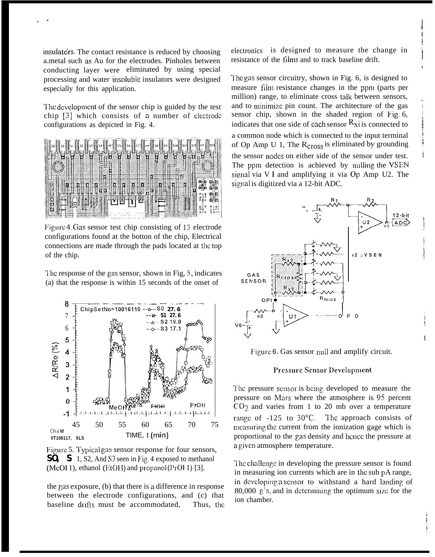insulato'rs. The contact resistance is reduced by choosing a.metal such as Au for the electrodes. Pinholes between conducting layer were eliminated by using special processing and water insoiuble insulators were designed especially for this application.

.-

The development of the sensor chip is guided by the test chip [3] which consists of a number of electrode configurations as depicted in Fig. 4.



Figure 4. Gas sensor test chip consisting of 13 electrode configurations found at the botton of the chip, Electrical connections are made through the pads located at the top of the chip.

l'hc response of the gas sensor, shown in Fig, 5, indicates (a) that the response is within 15 seconds of the onset of





the gas exposure, (b) that there is a difference in response between the electrode configurations, and (c) that baseline drifts must be accommodated, Thus, the electronics is designed to measure the change in resistance of the films and to track baseline drift.

t

i

l'he gas sensor circuitry, shown in Fig. 6, is designed to measure film resistance changes in the ppru (parts per million) range, to eliminate cross talk between sensors, and to minimize pin count. The architecture of the gas sensor chip, shown in the shaded region of Fig. 6, indicates that one side of each sensor  $R_{xi}$  is connected to a common node which is connected to the input terminal of Op Amp U 1, The  $R<sub>cross</sub>$  is eliminated by grounding the sensor nodes on either side of the sensor under test. The ppm detection is achieved by nulling the VSEN signal via V 1 and amplifying it via Op Amp U2. The signal is digitized via a 12-bit ADC.



Figure 6. Gas sensor null and amplify circuit.

#### Pressure Sensor Development

The pressure sensor is being developed to measure the pressure on Mars where the atmosphere is 95 percent  $CO<sub>2</sub>$  and varies from 1 to 20 mb over a temperature range of -125 to 30°C. The approach consists of measuring the current from the ionization gage which is proportional to the gas density and hcncc the pressure at a given atmosphere temperature.

The challenge in developing the pressure sensor is found in measuring ion currents which are in the sub pA range, in developing a sensor to withstand a hard landing of 80,000  $\beta$ 's, and in determining the optimum size for the ion chamber.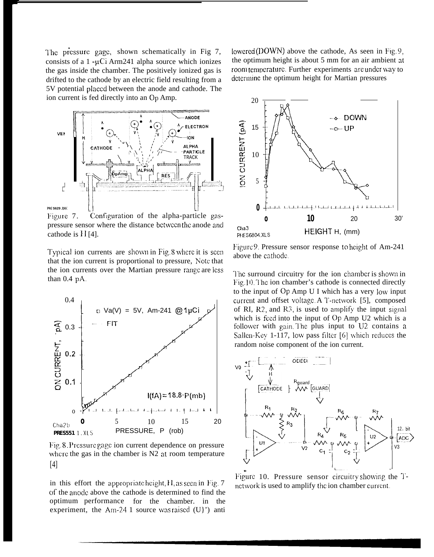The pressure gage, shown schematically in Fig 7, consists of a  $1 - \mu$ Ci Arm241 alpha source which ionizes the gas inside the chamber. The positively ionized gas is drifted to the cathode by an electric field resulting from a 5V potential placed between the anode and cathode. The ion current is fed directly into an Op Amp.



Figure 7. Configuration of the alpha-particle gaspressure sensor where the distance between the anode and cathode is  $\prod$  [4].

Typical ion currents are shown in Fig. 8 where it is seen that the ion current is proportional to pressure, Note that the ion currents over the Martian pressure range are less than 0.4 pA.



Fig. 8. Pressure gage ion current dependence on pressure where the gas in the chamber is N2 at room temperature [4]

in this effort the appropriate height,  $H$ , as seen in Fig. 7 of the anock above the cathode is determined to find the optimum performance for the chamber. in the experiment, the Am-24 1 source was raised  $(U)$ ') anti lowered (DOWN) above the cathode, As seen in Fig. 9, the optimum height is about 5 mm for an air ambient at room temperature. Further experiments are under way to dctcrmine the optimum height for Martian pressures



Figure 9. Pressure sensor response to height of Am-241 above the cathode.

The surround circuitry for the ion chamber is shown in Fig.10. The ion chamber's cathode is connected directly to the input of Op Amp U I which has a very low input current and offset voltage. A T-network [5], composed of RI,  $R2$ , and  $R3$ , is used to amplify the input signal which is feed into the input of Op Amp U2 which is a follower with gain. The plus input to U2 contains a Sallen-Key 1-117, low pass filter [6] which reduces the random noise component of the ion current.



Figure 10. Pressure sensor circuitry showing the Tnctwork is used to amplify the ion chamber current.